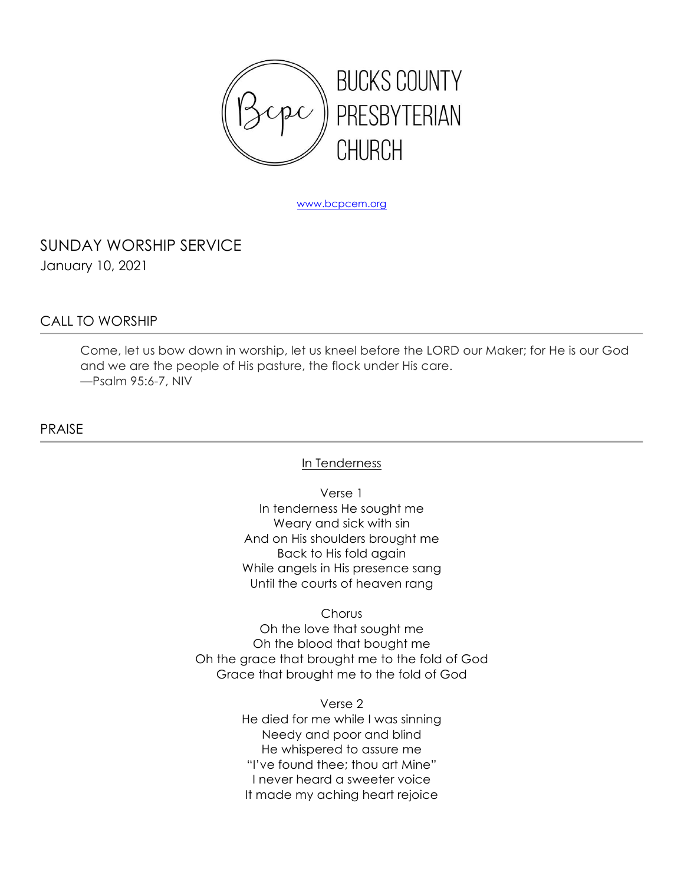

www.bcpcem.org

SUNDAY WORSHIP SERVICE January 10, 2021

### CALL TO WORSHIP

Come, let us bow down in worship, let us kneel before the LORD our Maker; for He is our God and we are the people of His pasture, the flock under His care. —Psalm 95:6-7, NIV

PRAISE

In Tenderness

Verse 1 In tenderness He sought me Weary and sick with sin And on His shoulders brought me Back to His fold again While angels in His presence sang Until the courts of heaven rang

Chorus

Oh the love that sought me Oh the blood that bought me Oh the grace that brought me to the fold of God Grace that brought me to the fold of God

> Verse 2 He died for me while I was sinning Needy and poor and blind He whispered to assure me "I've found thee; thou art Mine" I never heard a sweeter voice It made my aching heart rejoice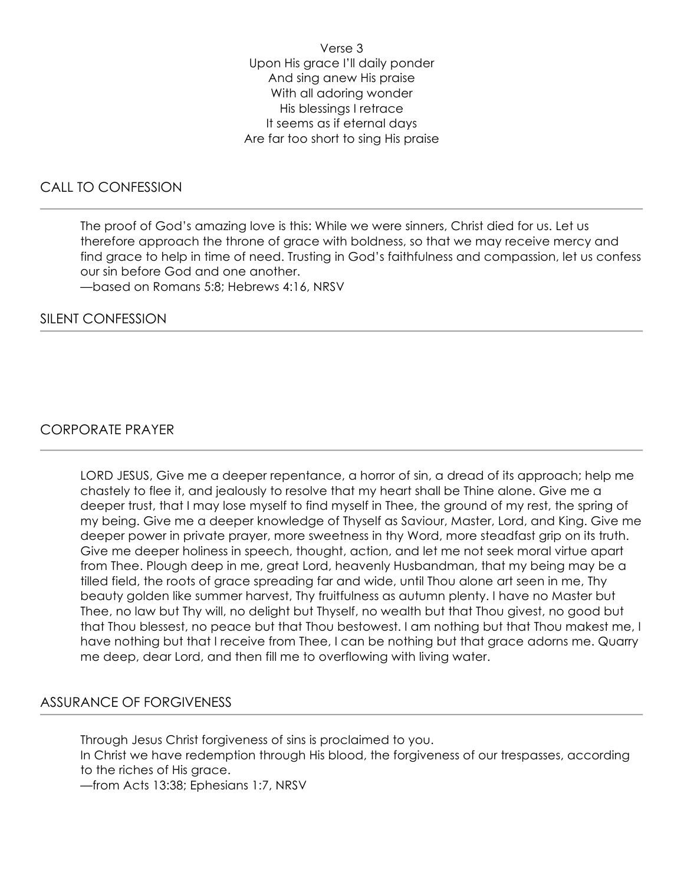Verse 3 Upon His grace I'll daily ponder And sing anew His praise With all adoring wonder His blessings I retrace It seems as if eternal days Are far too short to sing His praise

## CALL TO CONFESSION

The proof of God's amazing love is this: While we were sinners, Christ died for us. Let us therefore approach the throne of grace with boldness, so that we may receive mercy and find grace to help in time of need. Trusting in God's faithfulness and compassion, let us confess our sin before God and one another.

—based on Romans 5:8; Hebrews 4:16, NRSV

#### SILENT CONFESSION

### CORPORATE PRAYER

LORD JESUS, Give me a deeper repentance, a horror of sin, a dread of its approach; help me chastely to flee it, and jealously to resolve that my heart shall be Thine alone. Give me a deeper trust, that I may lose myself to find myself in Thee, the ground of my rest, the spring of my being. Give me a deeper knowledge of Thyself as Saviour, Master, Lord, and King. Give me deeper power in private prayer, more sweetness in thy Word, more steadfast grip on its truth. Give me deeper holiness in speech, thought, action, and let me not seek moral virtue apart from Thee. Plough deep in me, great Lord, heavenly Husbandman, that my being may be a tilled field, the roots of grace spreading far and wide, until Thou alone art seen in me, Thy beauty golden like summer harvest, Thy fruitfulness as autumn plenty. I have no Master but Thee, no law but Thy will, no delight but Thyself, no wealth but that Thou givest, no good but that Thou blessest, no peace but that Thou bestowest. I am nothing but that Thou makest me, I have nothing but that I receive from Thee, I can be nothing but that grace adorns me. Quarry me deep, dear Lord, and then fill me to overflowing with living water.

### ASSURANCE OF FORGIVENESS

Through Jesus Christ forgiveness of sins is proclaimed to you. In Christ we have redemption through His blood, the forgiveness of our trespasses, according to the riches of His grace. —from Acts 13:38; Ephesians 1:7, NRSV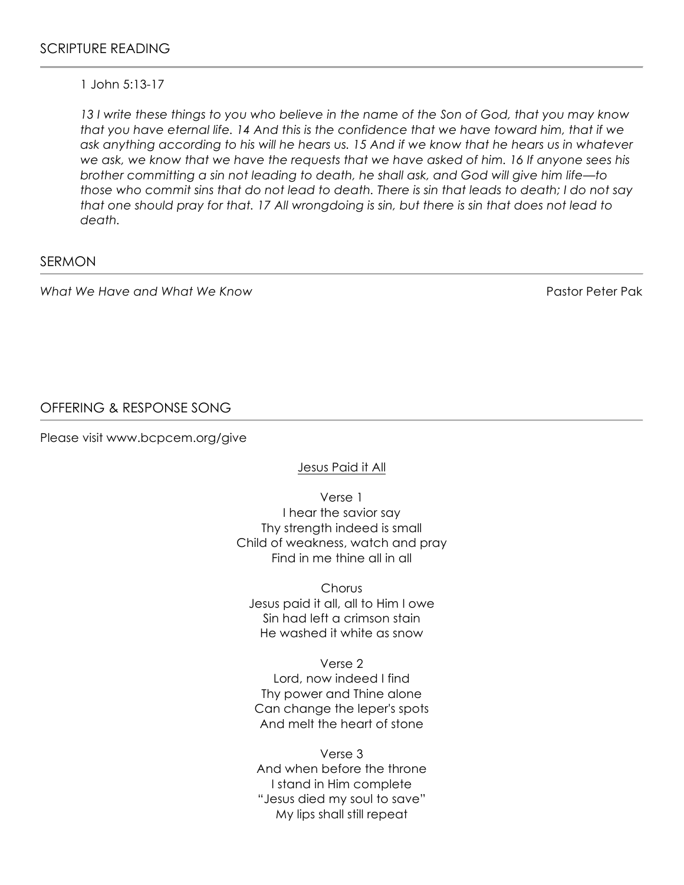#### 1 John 5:13-17

*13 I write these things to you who believe in the name of the Son of God, that you may know that you have eternal life. 14 And this is the confidence that we have toward him, that if we ask anything according to his will he hears us. 15 And if we know that he hears us in whatever we ask, we know that we have the requests that we have asked of him. 16 If anyone sees his brother committing a sin not leading to death, he shall ask, and God will give him life—to those who commit sins that do not lead to death. There is sin that leads to death; I do not say that one should pray for that. 17 All wrongdoing is sin, but there is sin that does not lead to death.* 

#### SERMON

*What We Have and What We Know* Pastor Peter Pak

# OFFERING & RESPONSE SONG

Please visit www.bcpcem.org/give

Jesus Paid it All

Verse 1 I hear the savior say Thy strength indeed is small Child of weakness, watch and pray Find in me thine all in all

**Chorus** Jesus paid it all, all to Him I owe Sin had left a crimson stain He washed it white as snow

Verse 2 Lord, now indeed I find Thy power and Thine alone Can change the leper's spots And melt the heart of stone

Verse 3 And when before the throne I stand in Him complete "Jesus died my soul to save" My lips shall still repeat